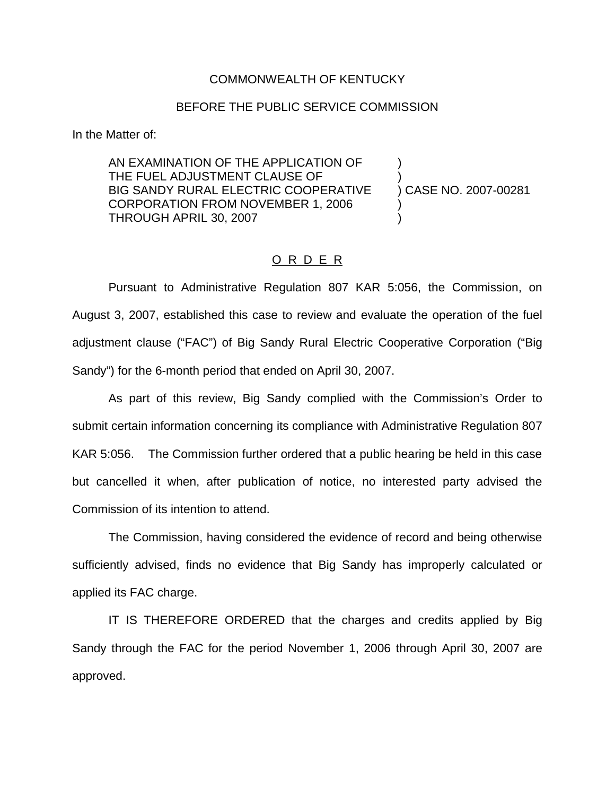## COMMONWEALTH OF KENTUCKY

## BEFORE THE PUBLIC SERVICE COMMISSION

In the Matter of:

AN EXAMINATION OF THE APPLICATION OF ) THE FUEL ADJUSTMENT CLAUSE OF BIG SANDY RURAL ELECTRIC COOPERATIVE ) CASE NO. 2007-00281 CORPORATION FROM NOVEMBER 1, 2006 ) THROUGH APRIL 30, 2007 )

## O R D E R

Pursuant to Administrative Regulation 807 KAR 5:056, the Commission, on August 3, 2007, established this case to review and evaluate the operation of the fuel adjustment clause ("FAC") of Big Sandy Rural Electric Cooperative Corporation ("Big Sandy") for the 6-month period that ended on April 30, 2007.

As part of this review, Big Sandy complied with the Commission's Order to submit certain information concerning its compliance with Administrative Regulation 807 KAR 5:056. The Commission further ordered that a public hearing be held in this case but cancelled it when, after publication of notice, no interested party advised the Commission of its intention to attend.

The Commission, having considered the evidence of record and being otherwise sufficiently advised, finds no evidence that Big Sandy has improperly calculated or applied its FAC charge.

IT IS THEREFORE ORDERED that the charges and credits applied by Big Sandy through the FAC for the period November 1, 2006 through April 30, 2007 are approved.